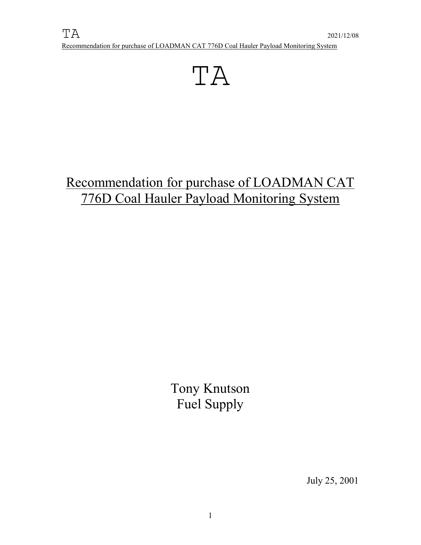

# Recommendation for purchase of LOADMAN CAT 776D Coal Hauler Payload Monitoring System

Tony Knutson Fuel Supply

July 25, 2001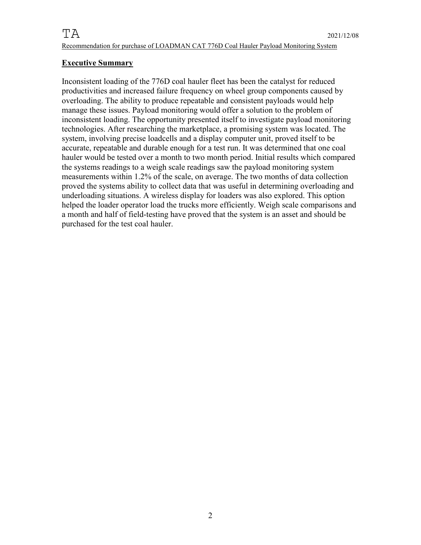### **Executive Summary**

Inconsistent loading of the 776D coal hauler fleet has been the catalyst for reduced productivities and increased failure frequency on wheel group components caused by overloading. The ability to produce repeatable and consistent payloads would help manage these issues. Payload monitoring would offer a solution to the problem of inconsistent loading. The opportunity presented itself to investigate payload monitoring technologies. After researching the marketplace, a promising system was located. The system, involving precise loadcells and a display computer unit, proved itself to be accurate, repeatable and durable enough for a test run. It was determined that one coal hauler would be tested over a month to two month period. Initial results which compared the systems readings to a weigh scale readings saw the payload monitoring system measurements within 1.2% of the scale, on average. The two months of data collection proved the systems ability to collect data that was useful in determining overloading and underloading situations. A wireless display for loaders was also explored. This option helped the loader operator load the trucks more efficiently. Weigh scale comparisons and a month and half of field-testing have proved that the system is an asset and should be purchased for the test coal hauler.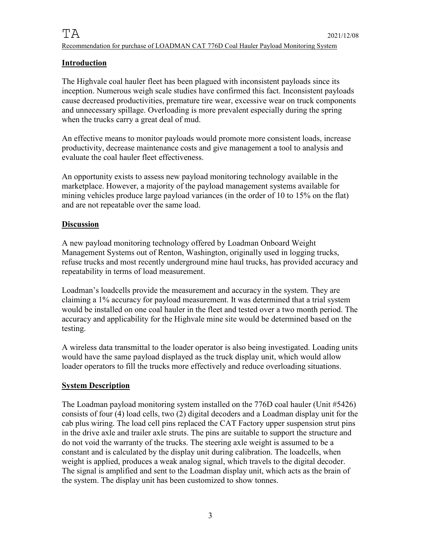## **Introduction**

The Highvale coal hauler fleet has been plagued with inconsistent payloads since its inception. Numerous weigh scale studies have confirmed this fact. Inconsistent payloads cause decreased productivities, premature tire wear, excessive wear on truck components and unnecessary spillage. Overloading is more prevalent especially during the spring when the trucks carry a great deal of mud.

An effective means to monitor payloads would promote more consistent loads, increase productivity, decrease maintenance costs and give management a tool to analysis and evaluate the coal hauler fleet effectiveness.

An opportunity exists to assess new payload monitoring technology available in the marketplace. However, a majority of the payload management systems available for mining vehicles produce large payload variances (in the order of 10 to 15% on the flat) and are not repeatable over the same load.

#### **Discussion**

A new payload monitoring technology offered by Loadman Onboard Weight Management Systems out of Renton, Washington, originally used in logging trucks, refuse trucks and most recently underground mine haul trucks, has provided accuracy and repeatability in terms of load measurement.

Loadman's loadcells provide the measurement and accuracy in the system. They are claiming a 1% accuracy for payload measurement. It was determined that a trial system would be installed on one coal hauler in the fleet and tested over a two month period. The accuracy and applicability for the Highvale mine site would be determined based on the testing.

A wireless data transmittal to the loader operator is also being investigated. Loading units would have the same payload displayed as the truck display unit, which would allow loader operators to fill the trucks more effectively and reduce overloading situations.

### **System Description**

The Loadman payload monitoring system installed on the 776D coal hauler (Unit #5426) consists of four (4) load cells, two (2) digital decoders and a Loadman display unit for the cab plus wiring. The load cell pins replaced the CAT Factory upper suspension strut pins in the drive axle and trailer axle struts. The pins are suitable to support the structure and do not void the warranty of the trucks. The steering axle weight is assumed to be a constant and is calculated by the display unit during calibration. The loadcells, when weight is applied, produces a weak analog signal, which travels to the digital decoder. The signal is amplified and sent to the Loadman display unit, which acts as the brain of the system. The display unit has been customized to show tonnes.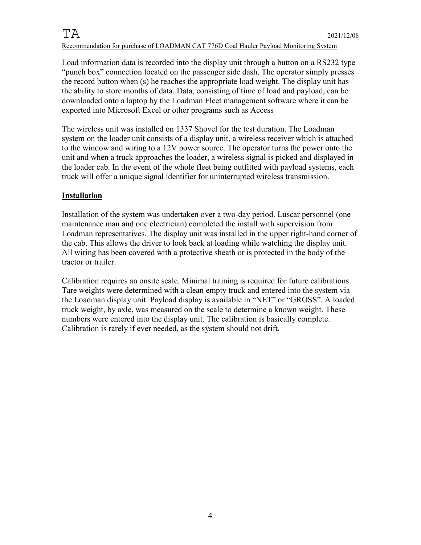Load information data is recorded into the display unit through a button on a RS232 type "punch box" connection located on the passenger side dash. The operator simply presses the record button when (s) he reaches the appropriate load weight. The display unit has the ability to store months of data. Data, consisting of time of load and payload, can be downloaded onto a laptop by the Loadman Fleet management software where it can be exported into Microsoft Excel or other programs such as Access

The wireless unit was installed on 1337 Shovel for the test duration. The Loadman system on the loader unit consists of a display unit, a wireless receiver which is attached to the window and wiring to a 12V power source. The operator turns the power onto the unit and when a truck approaches the loader, a wireless signal is picked and displayed in the loader cab. In the event of the whole fleet being outfitted with payload systems, each truck will offer a unique signal identifier for uninterrupted wireless transmission.

### **Installation**

Installation of the system was undertaken over a two-day period. Luscar personnel (one maintenance man and one electrician) completed the install with supervision from Loadman representatives. The display unit was installed in the upper right-hand corner of the cab. This allows the driver to look back at loading while watching the display unit. All wiring has been covered with a protective sheath or is protected in the body of the tractor or trailer.

Calibration requires an onsite scale. Minimal training is required for future calibrations. Tare weights were determined with a clean empty truck and entered into the system via the Loadman display unit. Payload display is available in "NET" or "GROSS". A loaded truck weight, by axle, was measured on the scale to determine a known weight. These numbers were entered into the display unit. The calibration is basically complete. Calibration is rarely if ever needed, as the system should not drift.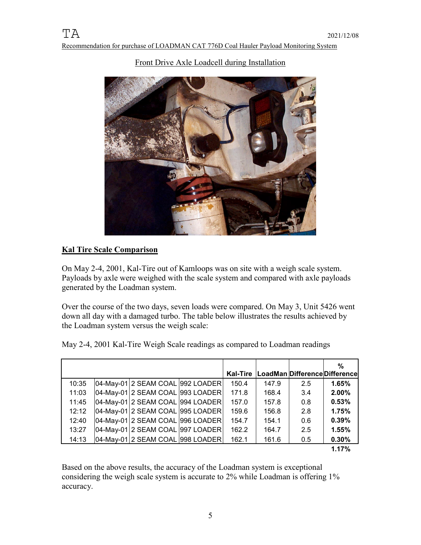

## Front Drive Axle Loadcell during Installation

## **Kal Tire Scale Comparison**

On May 2-4, 2001, Kal-Tire out of Kamloops was on site with a weigh scale system. Payloads by axle were weighed with the scale system and compared with axle payloads generated by the Loadman system.

Over the course of the two days, seven loads were compared. On May 3, Unit 5426 went down all day with a damaged turbo. The table below illustrates the results achieved by the Loadman system versus the weigh scale:

|       |                                  | <b>Kal-Tire</b> |       | LoadMan Difference Difference | %     |
|-------|----------------------------------|-----------------|-------|-------------------------------|-------|
| 10:35 |                                  | 150.4           | 147.9 | 2.5                           | 1.65% |
| 11:03 | 04-May-01 2 SEAM COAL 993 LOADER | 171.8           | 168.4 | 3.4                           | 2.00% |
| 11:45 | 04-May-01 2 SEAM COAL 994 LOADER | 157.0           | 157.8 | 0.8                           | 0.53% |
| 12:12 | 04-May-01 2 SEAM COAL 995 LOADER | 159.6           | 156.8 | 2.8                           | 1.75% |
| 12:40 | 04-May-01 2 SEAM COAL 996 LOADER | 154.7           | 154.1 | 0.6                           | 0.39% |
| 13:27 | 04-May-01 2 SEAM COAL 997 LOADER | 162.2           | 164.7 | 2.5                           | 1.55% |
| 14:13 | 04-May-01 2 SEAM COAL 998 LOADER | 162.1           | 161.6 | 0.5                           | 0.30% |
|       |                                  |                 |       |                               | 1.17% |

May 2-4, 2001 Kal-Tire Weigh Scale readings as compared to Loadman readings

Based on the above results, the accuracy of the Loadman system is exceptional considering the weigh scale system is accurate to 2% while Loadman is offering 1% accuracy.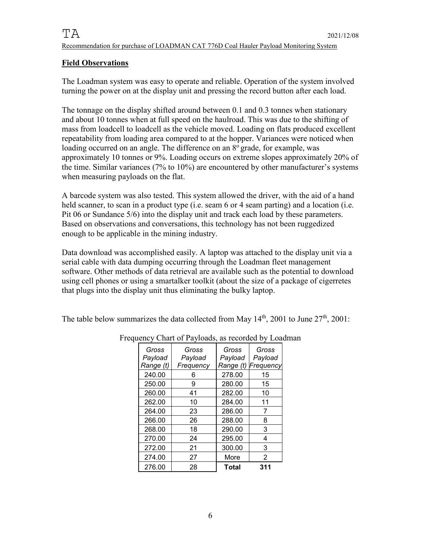### **Field Observations**

The Loadman system was easy to operate and reliable. Operation of the system involved turning the power on at the display unit and pressing the record button after each load.

The tonnage on the display shifted around between 0.1 and 0.3 tonnes when stationary and about 10 tonnes when at full speed on the haulroad. This was due to the shifting of mass from loadcell to loadcell as the vehicle moved. Loading on flats produced excellent repeatability from loading area compared to at the hopper. Variances were noticed when loading occurred on an angle. The difference on an  $8^\circ$  grade, for example, was approximately 10 tonnes or 9%. Loading occurs on extreme slopes approximately 20% of the time. Similar variances (7% to 10%) are encountered by other manufacturer's systems when measuring payloads on the flat.

A barcode system was also tested. This system allowed the driver, with the aid of a hand held scanner, to scan in a product type (i.e. seam 6 or 4 seam parting) and a location (i.e. Pit 06 or Sundance 5/6) into the display unit and track each load by these parameters. Based on observations and conversations, this technology has not been ruggedized enough to be applicable in the mining industry.

Data download was accomplished easily. A laptop was attached to the display unit via a serial cable with data dumping occurring through the Loadman fleet management software. Other methods of data retrieval are available such as the potential to download using cell phones or using a smartalker toolkit (about the size of a package of cigerretes that plugs into the display unit thus eliminating the bulky laptop.

The table below summarizes the data collected from May  $14<sup>th</sup>$ , 2001 to June  $27<sup>th</sup>$ , 2001:

| Gross<br>Payload | Gross<br>Payload | Gross<br>Payload | Gross<br>Payload |
|------------------|------------------|------------------|------------------|
| Range (t)        | Frequency        | Range (t)        | Frequency        |
| 240.00           | 6                | 278.00           | 15               |
| 250.00           | 9                | 280.00           | 15               |
| 260.00           | 41               | 282.00           | 10               |
| 262.00           | 10               | 284.00           | 11               |
| 264.00           | 23               | 286.00           | 7                |
| 266.00           | 26               | 288.00           | 8                |
| 268.00           | 18               | 290.00           | 3                |
| 270.00           | 24               | 295.00           | 4                |
| 272.00           | 21               | 300.00           | 3                |
| 274.00           | 27               | More             | 2                |
| 276.00           | 28               | Total            | 311              |

Frequency Chart of Payloads, as recorded by Loadman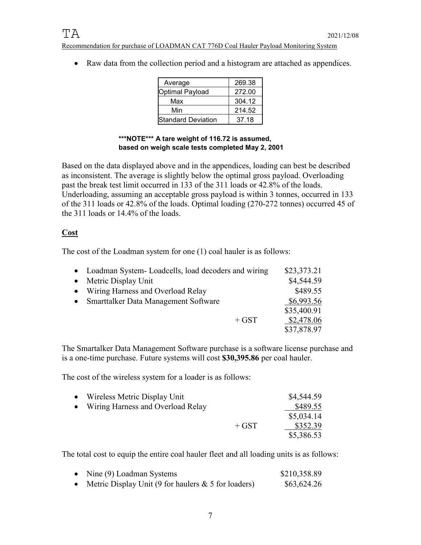• Raw data from the collection period and a histogram are attached as appendices.

| Average            | 269.38 |
|--------------------|--------|
| Optimal Payload    | 272.00 |
| Max                | 304.12 |
| Min                | 214.52 |
| Standard Deviation | 37.18  |

#### **\*\*\*NOTE\*\*\* A tare weight of 116.72 is assumed, based on weigh scale tests completed May 2, 2001**

Based on the data displayed above and in the appendices, loading can best be described as inconsistent. The average is slightly below the optimal gross payload. Overloading past the break test limit occurred in 133 of the 311 loads or 42.8% of the loads. Underloading, assuming an acceptable gross payload is within 3 tonnes, occurred in 133 of the 311 loads or 42.8% of the loads. Optimal loading (270-272 tonnes) occurred 45 of the 311 loads or 14.4% of the loads.

## **Cost**

The cost of the Loadman system for one (1) coal hauler is as follows:

|           | • Loadman System-Loadcells, load decoders and wiring | \$23,373.21 |
|-----------|------------------------------------------------------|-------------|
|           | • Metric Display Unit                                | \$4,544.59  |
|           | • Wiring Harness and Overload Relay                  | \$489.55    |
| $\bullet$ | Smarttalker Data Management Software                 | \$6,993.56  |
|           |                                                      | \$35,400.91 |
|           | $+$ GST                                              | \$2,478.06  |
|           |                                                      | \$37,878.97 |

The Smartalker Data Management Software purchase is a software license purchase and is a one-time purchase. Future systems will cost **\$30,395.86** per coal hauler.

The cost of the wireless system for a loader is as follows:

| • Wireless Metric Display Unit      |         | \$4,544.59 |
|-------------------------------------|---------|------------|
| • Wiring Harness and Overload Relay |         | \$489.55   |
|                                     |         | \$5,034.14 |
|                                     | $+$ GST | \$352.39   |
|                                     |         | \$5,386.53 |

The total cost to equip the entire coal hauler fleet and all loading units is as follows:

| Nine (9) Loadman Systems                               | \$210,358.89 |
|--------------------------------------------------------|--------------|
| Metric Display Unit (9 for haulers $\&$ 5 for loaders) | \$63,624.26  |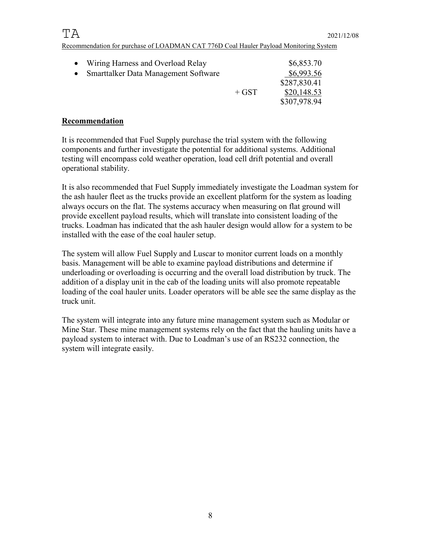| • Wiring Harness and Overload Relay    |         | \$6,853.70   |
|----------------------------------------|---------|--------------|
| • Smarttalker Data Management Software |         | \$6,993.56   |
|                                        |         | \$287,830.41 |
|                                        | $+$ GST | \$20,148.53  |
|                                        |         | \$307,978.94 |

## **Recommendation**

It is recommended that Fuel Supply purchase the trial system with the following components and further investigate the potential for additional systems. Additional testing will encompass cold weather operation, load cell drift potential and overall operational stability.

It is also recommended that Fuel Supply immediately investigate the Loadman system for the ash hauler fleet as the trucks provide an excellent platform for the system as loading always occurs on the flat. The systems accuracy when measuring on flat ground will provide excellent payload results, which will translate into consistent loading of the trucks. Loadman has indicated that the ash hauler design would allow for a system to be installed with the ease of the coal hauler setup.

The system will allow Fuel Supply and Luscar to monitor current loads on a monthly basis. Management will be able to examine payload distributions and determine if underloading or overloading is occurring and the overall load distribution by truck. The addition of a display unit in the cab of the loading units will also promote repeatable loading of the coal hauler units. Loader operators will be able see the same display as the truck unit.

The system will integrate into any future mine management system such as Modular or Mine Star. These mine management systems rely on the fact that the hauling units have a payload system to interact with. Due to Loadman's use of an RS232 connection, the system will integrate easily.